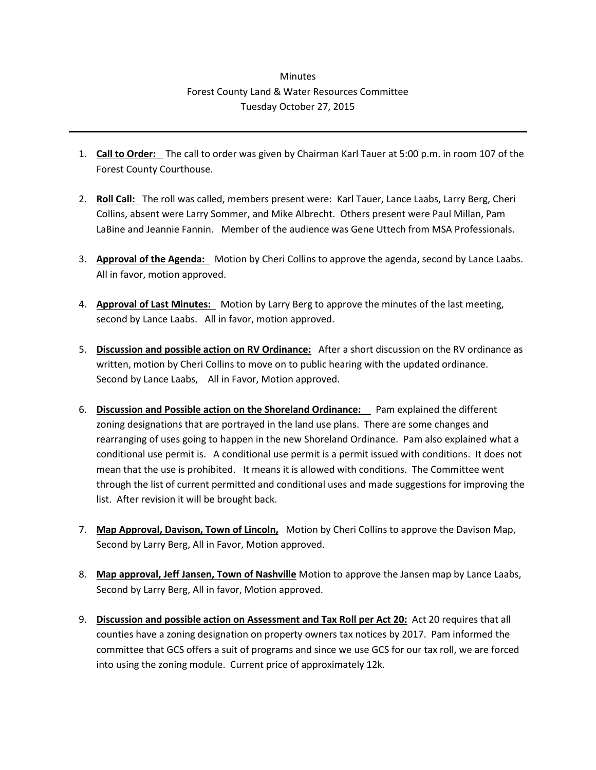## **Minutes** Forest County Land & Water Resources Committee Tuesday October 27, 2015

- 1. **Call to Order:** The call to order was given by Chairman Karl Tauer at 5:00 p.m. in room 107 of the Forest County Courthouse.
- 2. **Roll Call:** The roll was called, members present were: Karl Tauer, Lance Laabs, Larry Berg, Cheri Collins, absent were Larry Sommer, and Mike Albrecht. Others present were Paul Millan, Pam LaBine and Jeannie Fannin. Member of the audience was Gene Uttech from MSA Professionals.
- 3. **Approval of the Agenda:** Motion by Cheri Collins to approve the agenda, second by Lance Laabs. All in favor, motion approved.
- 4. **Approval of Last Minutes:** Motion by Larry Berg to approve the minutes of the last meeting, second by Lance Laabs. All in favor, motion approved.
- 5. **Discussion and possible action on RV Ordinance:** After a short discussion on the RV ordinance as written, motion by Cheri Collins to move on to public hearing with the updated ordinance. Second by Lance Laabs, All in Favor, Motion approved.
- 6. **Discussion and Possible action on the Shoreland Ordinance:** Pam explained the different zoning designations that are portrayed in the land use plans. There are some changes and rearranging of uses going to happen in the new Shoreland Ordinance. Pam also explained what a conditional use permit is. A conditional use permit is a permit issued with conditions. It does not mean that the use is prohibited. It means it is allowed with conditions. The Committee went through the list of current permitted and conditional uses and made suggestions for improving the list. After revision it will be brought back.
- 7. **Map Approval, Davison, Town of Lincoln,** Motion by Cheri Collins to approve the Davison Map, Second by Larry Berg, All in Favor, Motion approved.
- 8. **Map approval, Jeff Jansen, Town of Nashville** Motion to approve the Jansen map by Lance Laabs, Second by Larry Berg, All in favor, Motion approved.
- 9. **Discussion and possible action on Assessment and Tax Roll per Act 20:** Act 20 requires that all counties have a zoning designation on property owners tax notices by 2017. Pam informed the committee that GCS offers a suit of programs and since we use GCS for our tax roll, we are forced into using the zoning module. Current price of approximately 12k.